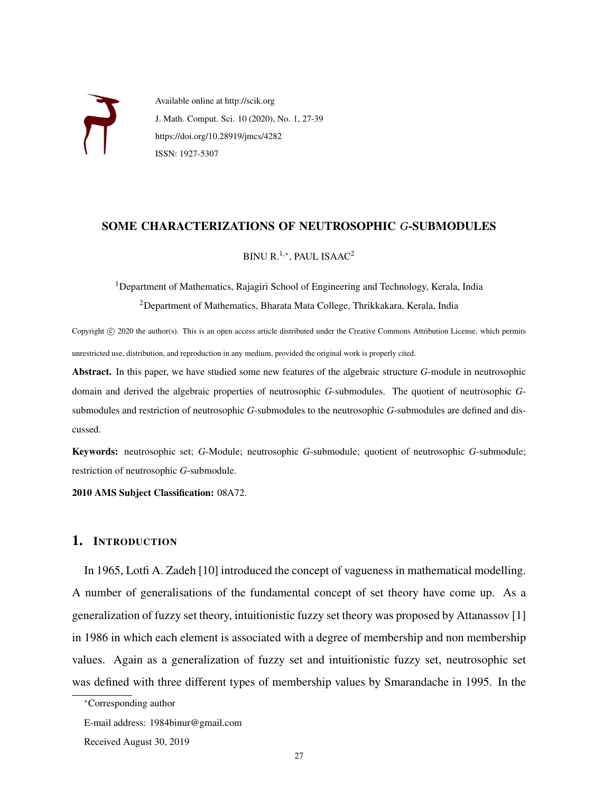

Available online at http://scik.org J. Math. Comput. Sci. 10 (2020), No. 1, 27-39 https://doi.org/10.28919/jmcs/4282 ISSN: 1927-5307

### SOME CHARACTERIZATIONS OF NEUTROSOPHIC *G*-SUBMODULES

BINU R.<sup>1,∗</sup>, PAUL ISAAC<sup>2</sup>

<sup>1</sup>Department of Mathematics, Rajagiri School of Engineering and Technology, Kerala, India <sup>2</sup>Department of Mathematics, Bharata Mata College, Thrikkakara, Kerala, India

Copyright © 2020 the author(s). This is an open access article distributed under the Creative Commons Attribution License, which permits unrestricted use, distribution, and reproduction in any medium, provided the original work is properly cited.

Abstract. In this paper, we have studied some new features of the algebraic structure *G*-module in neutrosophic domain and derived the algebraic properties of neutrosophic *G*-submodules. The quotient of neutrosophic *G*submodules and restriction of neutrosophic *G*-submodules to the neutrosophic *G*-submodules are defined and discussed.

Keywords: neutrosophic set; *G*-Module; neutrosophic *G*-submodule; quotient of neutrosophic *G*-submodule; restriction of neutrosophic *G*-submodule.

2010 AMS Subject Classification: 08A72.

# 1. INTRODUCTION

In 1965, Lotfi A. Zadeh [10] introduced the concept of vagueness in mathematical modelling. A number of generalisations of the fundamental concept of set theory have come up. As a generalization of fuzzy set theory, intuitionistic fuzzy set theory was proposed by Attanassov [1] in 1986 in which each element is associated with a degree of membership and non membership values. Again as a generalization of fuzzy set and intuitionistic fuzzy set, neutrosophic set was defined with three different types of membership values by Smarandache in 1995. In the

<sup>∗</sup>Corresponding author

E-mail address: 1984binur@gmail.com

Received August 30, 2019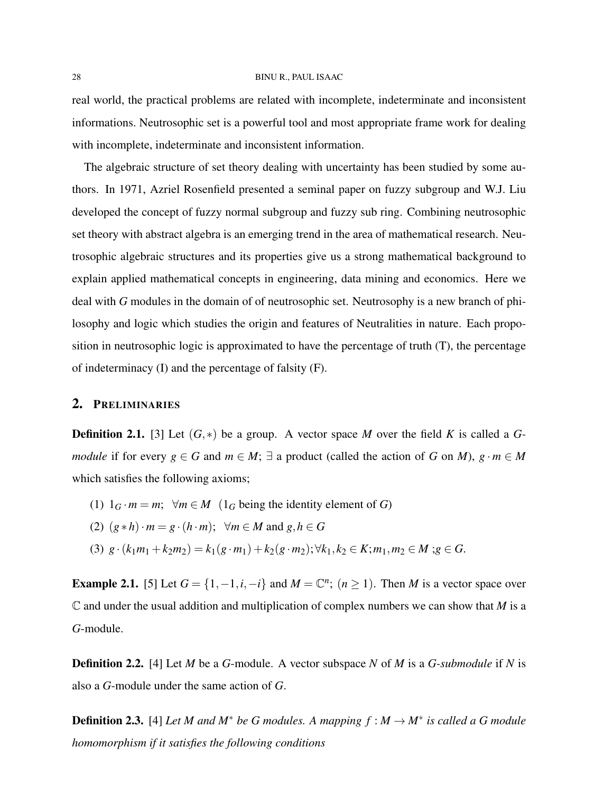#### 28 BINU R., PAUL ISAAC

real world, the practical problems are related with incomplete, indeterminate and inconsistent informations. Neutrosophic set is a powerful tool and most appropriate frame work for dealing with incomplete, indeterminate and inconsistent information.

The algebraic structure of set theory dealing with uncertainty has been studied by some authors. In 1971, Azriel Rosenfield presented a seminal paper on fuzzy subgroup and W.J. Liu developed the concept of fuzzy normal subgroup and fuzzy sub ring. Combining neutrosophic set theory with abstract algebra is an emerging trend in the area of mathematical research. Neutrosophic algebraic structures and its properties give us a strong mathematical background to explain applied mathematical concepts in engineering, data mining and economics. Here we deal with *G* modules in the domain of of neutrosophic set. Neutrosophy is a new branch of philosophy and logic which studies the origin and features of Neutralities in nature. Each proposition in neutrosophic logic is approximated to have the percentage of truth (T), the percentage of indeterminacy (I) and the percentage of falsity (F).

### 2. PRELIMINARIES

Definition 2.1. [3] Let (*G*,∗) be a group. A vector space *M* over the field *K* is called a *Gmodule* if for every *g* ∈ *G* and *m* ∈ *M*;  $\exists$  a product (called the action of *G* on *M*), *g* · *m* ∈ *M* which satisfies the following axioms;

- (1)  $1_G \cdot m = m$ ;  $\forall m \in M$  ( $1_G$  being the identity element of *G*)
- (2)  $(g * h) \cdot m = g \cdot (h \cdot m); \forall m \in M \text{ and } g, h \in G$
- (3)  $g \cdot (k_1m_1 + k_2m_2) = k_1(g \cdot m_1) + k_2(g \cdot m_2); \forall k_1, k_2 \in K; m_1, m_2 \in M; g \in G.$

**Example 2.1.** [5] Let  $G = \{1, -1, i, -i\}$  and  $M = \mathbb{C}^n$ ;  $(n \ge 1)$ . Then *M* is a vector space over  $\mathbb C$  and under the usual addition and multiplication of complex numbers we can show that *M* is a *G*-module.

Definition 2.2. [4] Let *M* be a *G*-module. A vector subspace *N* of *M* is a *G-submodule* if *N* is also a *G*-module under the same action of *G*.

**Definition 2.3.** [4] Let M and  $M^*$  be G modules. A mapping  $f : M \to M^*$  is called a G module *homomorphism if it satisfies the following conditions*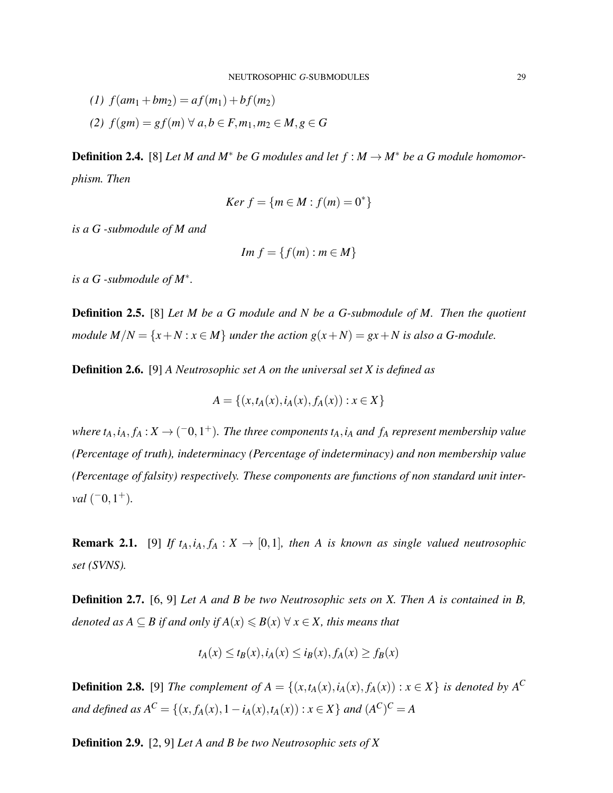(1)  $f(am_1 + bm_2) = af(m_1) + bf(m_2)$ *(2) f*(*gm*) = *g f*(*m*) ∀ *a*,*b* ∈ *F*,*m*1,*m*<sup>2</sup> ∈ *M*,*g* ∈ *G*

**Definition 2.4.** [8] *Let M and M<sup>\*</sup> be G modules and let*  $f : M \to M^*$  *be a G module homomorphism. Then*

$$
Ker\ f = \{m \in M : f(m) = 0^*\}
$$

*is a G -submodule of M and*

$$
Im\ f = \{f(m) : m \in M\}
$$

*is a G -submodule of M*<sup>∗</sup> *.*

Definition 2.5. [8] *Let M be a G module and N be a G-submodule of M. Then the quotient module*  $M/N = \{x + N : x \in M\}$  *under the action*  $g(x + N) = gx + N$  *is also a G-module.* 

Definition 2.6. [9] *A Neutrosophic set A on the universal set X is defined as*

$$
A = \{(x, t_A(x), i_A(x), f_A(x)) : x \in X\}
$$

*where*  $t_A$ ,  $i_A$ ,  $f_A$  :  $X \rightarrow (-0, 1^+)$ . The three components  $t_A$ ,  $i_A$  and  $f_A$  represent membership value *(Percentage of truth), indeterminacy (Percentage of indeterminacy) and non membership value (Percentage of falsity) respectively. These components are functions of non standard unit interval*  $(-0, 1^+)$ *.* 

**Remark 2.1.** [9] *If*  $t_A$ ,  $i_A$ ,  $f_A$  :  $X \rightarrow [0,1]$ *, then A is known as single valued neutrosophic set (SVNS).*

Definition 2.7. [6, 9] *Let A and B be two Neutrosophic sets on X. Then A is contained in B, denoted as*  $A \subseteq B$  *if and only if*  $A(x) \le B(x) \forall x \in X$ *, this means that* 

$$
t_A(x) \le t_B(x), i_A(x) \le i_B(x), f_A(x) \ge f_B(x)
$$

**Definition 2.8.** [9] *The complement of A* = { $(x, t_A(x), i_A(x), f_A(x))$  :  $x \in X$ } *is denoted by*  $A^C$ *and defined as*  $A^C = \{(x, f_A(x), 1 - i_A(x), t_A(x)) : x \in X\}$  *and*  $(A^C)^C = A$ 

Definition 2.9. [2, 9] *Let A and B be two Neutrosophic sets of X*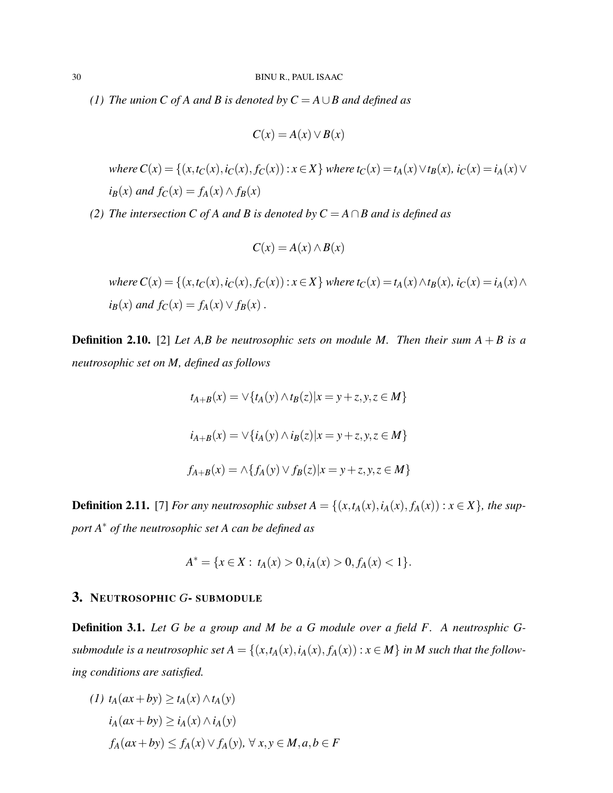*(1) The union C of A and B is denoted by C* = *A*∪*B and defined as*

$$
C(x) = A(x) \vee B(x)
$$

where  $C(x) = \{(x,t_C(x), i_C(x), f_C(x)) : x \in X\}$  where  $t_C(x) = t_A(x) \vee t_B(x)$ ,  $i_C(x) = i_A(x) \vee t_B(x)$  $i_B(x)$  *and*  $f_C(x) = f_A(x) \land f_B(x)$ 

*(2) The intersection C of A and B is denoted by C* = *A*∩*B and is defined as*

$$
C(x) = A(x) \wedge B(x)
$$

where 
$$
C(x) = \{(x, t_C(x), i_C(x), f_C(x)) : x \in X\}
$$
 where  $t_C(x) = t_A(x) \wedge t_B(x)$ ,  $i_C(x) = i_A(x) \wedge i_B(x)$  and  $f_C(x) = f_A(x) \vee f_B(x)$ .

**Definition 2.10.** [2] Let A,B be neutrosophic sets on module M. Then their sum  $A + B$  is a *neutrosophic set on M, defined as follows*

$$
t_{A+B}(x) = \sqrt{\{t_A(y) \land t_B(z)|x = y + z, y, z \in M\}}
$$
  

$$
i_{A+B}(x) = \sqrt{\{t_A(y) \land i_B(z)|x = y + z, y, z \in M\}}
$$
  

$$
f_{A+B}(x) = \land \{f_A(y) \lor f_B(z)|x = y + z, y, z \in M\}
$$

**Definition 2.11.** [7] *For any neutrosophic subset*  $A = \{(x, t_A(x), i_A(x), f_A(x)) : x \in X\}$ *, the support A*<sup>∗</sup> *of the neutrosophic set A can be defined as*

$$
A^* = \{x \in X : t_A(x) > 0, i_A(x) > 0, f_A(x) < 1\}.
$$

## 3. NEUTROSOPHIC *G*- SUBMODULE

Definition 3.1. *Let G be a group and M be a G module over a field F. A neutrosphic Gsubmodule is a neutrosophic set*  $A = \{(x, t_A(x), i_A(x), f_A(x)) : x \in M\}$  *in M such that the following conditions are satisfied.*

$$
(1) tA(ax + by) \ge tA(x) \land tA(y)
$$
  
\n
$$
iA(ax + by) \ge iA(x) \land iA(y)
$$
  
\n
$$
fA(ax + by) \le fA(x) \lor fA(y), \forall x, y \in M, a, b \in F
$$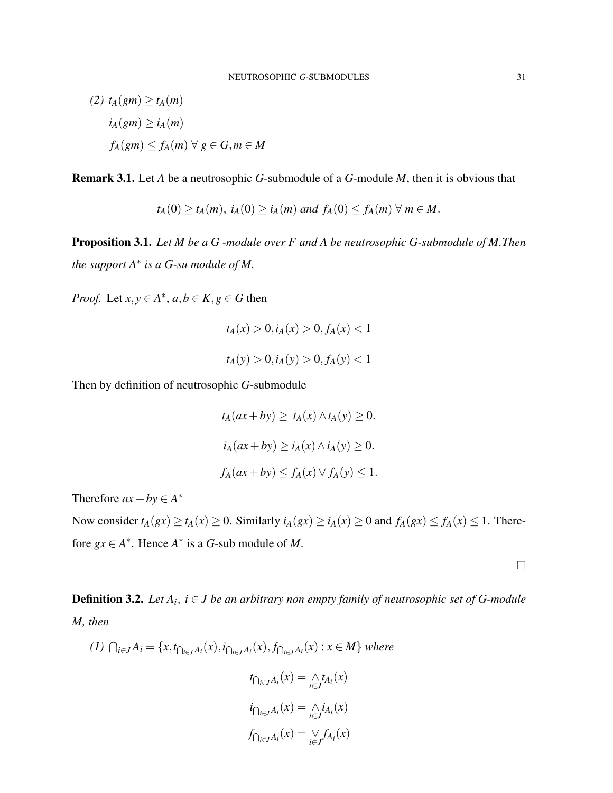(2) 
$$
t_A(gm) \ge t_A(m)
$$
  
\n $i_A(gm) \ge i_A(m)$   
\n $f_A(gm) \le f_A(m) \ \forall \ g \in G, m \in M$ 

Remark 3.1. Let *A* be a neutrosophic *G*-submodule of a *G*-module *M*, then it is obvious that

 $t_A(0) \ge t_A(m), i_A(0) \ge i_A(m)$  *and*  $f_A(0) \le f_A(m) \ \forall \ m \in M$ .

Proposition 3.1. *Let M be a G -module over F and A be neutrosophic G-submodule of M.Then the support A*<sup>∗</sup> *is a G-su module of M.*

*Proof.* Let  $x, y \in A^*$ ,  $a, b \in K$ ,  $g \in G$  then

$$
t_A(x) > 0, i_A(x) > 0, f_A(x) < 1
$$
  

$$
t_A(y) > 0, i_A(y) > 0, f_A(y) < 1
$$

Then by definition of neutrosophic *G*-submodule

$$
t_A(ax + by) \ge t_A(x) \wedge t_A(y) \ge 0.
$$
  

$$
i_A(ax + by) \ge i_A(x) \wedge i_A(y) \ge 0.
$$
  

$$
f_A(ax + by) \le f_A(x) \vee f_A(y) \le 1.
$$

Therefore  $ax + by \in A^*$ 

Now consider  $t_A(gx) \ge t_A(x) \ge 0$ . Similarly  $i_A(gx) \ge i_A(x) \ge 0$  and  $f_A(gx) \le f_A(x) \le 1$ . Therefore  $gx \in A^*$ . Hence  $A^*$  is a *G*-sub module of *M*.

 $\Box$ 

Definition 3.2. *Let A<sup>i</sup>* , *i* ∈ *J be an arbitrary non empty family of neutrosophic set of G-module M, then*

$$
(1) \bigcap_{i \in J} A_i = \{x, t_{\bigcap_{i \in J} A_i}(x), i_{\bigcap_{i \in J} A_i}(x), f_{\bigcap_{i \in J} A_i}(x) : x \in M\} \text{ where}
$$
\n
$$
t_{\bigcap_{i \in J} A_i}(x) = \bigwedge_{i \in J} t_{A_i}(x)
$$
\n
$$
i_{\bigcap_{i \in J} A_i}(x) = \bigwedge_{i \in J} i_{A_i}(x)
$$
\n
$$
f_{\bigcap_{i \in J} A_i}(x) = \bigvee_{i \in J} f_{A_i}(x)
$$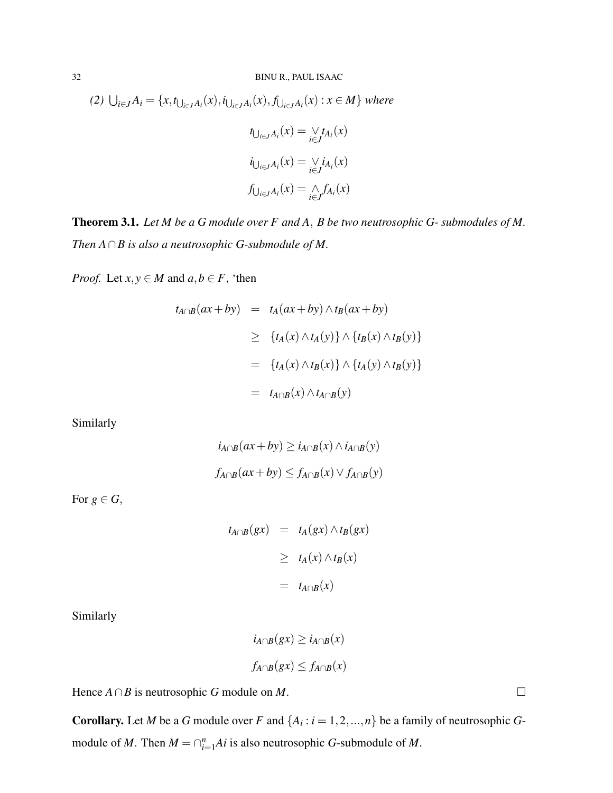(2) 
$$
\bigcup_{i \in J} A_i = \{x, t_{\bigcup_{i \in J} A_i}(x), i_{\bigcup_{i \in J} A_i}(x), f_{\bigcup_{i \in J} A_i}(x) : x \in M\}
$$
 where  

$$
t_{\bigcup_{i \in J} A_i}(x) = \bigvee_{i \in J} t_{A_i}(x)
$$

$$
i_{\bigcup_{i \in J} A_i}(x) = \bigvee_{i \in J} i_{A_i}(x)
$$

$$
f_{\bigcup_{i \in J} A_i}(x) = \bigwedge_{i \in J} f_{A_i}(x)
$$

Theorem 3.1. *Let M be a G module over F and A*, *B be two neutrosophic G- submodules of M. Then A*∩*B is also a neutrosophic G-submodule of M.*

*Proof.* Let  $x, y \in M$  and  $a, b \in F$ , 'then

$$
t_{A\cap B}(ax + by) = t_A(ax + by) \wedge t_B(ax + by)
$$
  
\n
$$
\geq \{t_A(x) \wedge t_A(y)\} \wedge \{t_B(x) \wedge t_B(y)\}
$$
  
\n
$$
= \{t_A(x) \wedge t_B(x)\} \wedge \{t_A(y) \wedge t_B(y)\}
$$
  
\n
$$
= t_{A\cap B}(x) \wedge t_{A\cap B}(y)
$$

Similarly

$$
i_{A \cap B}(ax + by) \ge i_{A \cap B}(x) \land i_{A \cap B}(y)
$$

$$
f_{A \cap B}(ax + by) \le f_{A \cap B}(x) \lor f_{A \cap B}(y)
$$

For  $g \in G$ ,

$$
t_{A \cap B}(gx) = t_A(gx) \wedge t_B(gx)
$$
  
\n
$$
\geq t_A(x) \wedge t_B(x)
$$
  
\n
$$
= t_{A \cap B}(x)
$$

Similarly

$$
i_{A \cap B}(gx) \ge i_{A \cap B}(x)
$$
  

$$
f_{A \cap B}(gx) \le f_{A \cap B}(x)
$$

Hence  $A \cap B$  is neutrosophic *G* module on *M*.

**Corollary.** Let *M* be a *G* module over *F* and  $\{A_i : i = 1, 2, ..., n\}$  be a family of neutrosophic *G*module of *M*. Then  $M = \bigcap_{i=1}^{n} Ai$  is also neutrosophic *G*-submodule of *M*.

$$
\qquad \qquad \Box
$$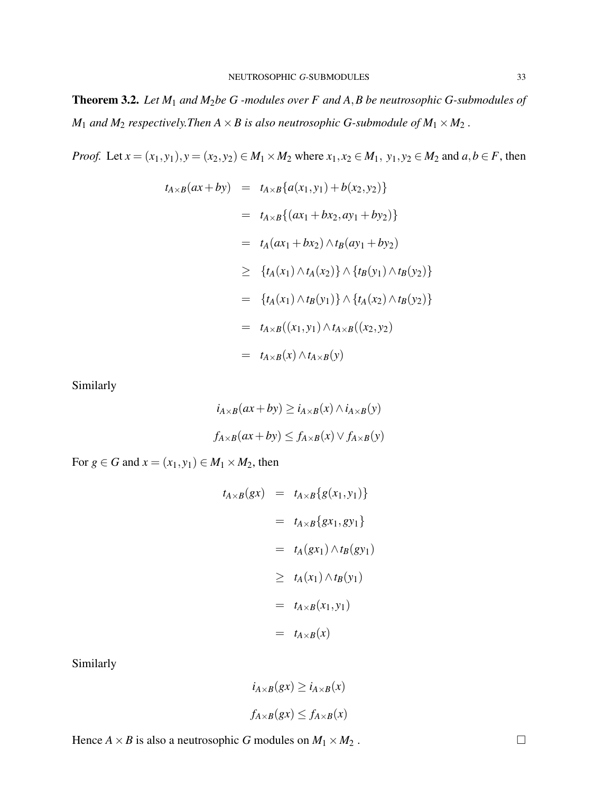Theorem 3.2. *Let M*<sup>1</sup> *and M*2*be G -modules over F and A*,*B be neutrosophic G-submodules of*  $M_1$  *and*  $M_2$  *respectively. Then*  $A \times B$  *is also neutrosophic G-submodule of*  $M_1 \times M_2$ .

*Proof.* Let  $x = (x_1, y_1), y = (x_2, y_2) \in M_1 \times M_2$  where  $x_1, x_2 \in M_1$ ,  $y_1, y_2 \in M_2$  and  $a, b \in F$ , then

$$
t_{A \times B}(ax + by) = t_{A \times B}\{a(x_1, y_1) + b(x_2, y_2)\}
$$
  
\n
$$
= t_{A \times B}\{(ax_1 + bx_2, ay_1 + by_2)\}
$$
  
\n
$$
= t_A(ax_1 + bx_2) \wedge t_B(ay_1 + by_2)
$$
  
\n
$$
\geq \{t_A(x_1) \wedge t_A(x_2)\} \wedge \{t_B(y_1) \wedge t_B(y_2)\}
$$
  
\n
$$
= \{t_A(x_1) \wedge t_B(y_1)\} \wedge \{t_A(x_2) \wedge t_B(y_2)\}
$$
  
\n
$$
= t_{A \times B}((x_1, y_1) \wedge t_{A \times B}((x_2, y_2))
$$
  
\n
$$
= t_{A \times B}(x) \wedge t_{A \times B}(y)
$$

Similarly

$$
i_{A \times B}(ax + by) \ge i_{A \times B}(x) \land i_{A \times B}(y)
$$
  

$$
f_{A \times B}(ax + by) \le f_{A \times B}(x) \lor f_{A \times B}(y)
$$

For  $g \in G$  and  $x = (x_1, y_1) \in M_1 \times M_2$ , then

$$
t_{A\times B}(gx) = t_{A\times B}\{g(x_1, y_1)\}
$$
  

$$
= t_{A\times B}\{gx_1, gy_1\}
$$
  

$$
= t_A(gx_1) \wedge t_B(gy_1)
$$
  

$$
\geq t_A(x_1) \wedge t_B(y_1)
$$
  

$$
= t_{A\times B}(x_1, y_1)
$$
  

$$
= t_{A\times B}(x)
$$

Similarly

$$
i_{A \times B}(gx) \ge i_{A \times B}(x)
$$
  

$$
f_{A \times B}(gx) \le f_{A \times B}(x)
$$

Hence  $A \times B$  is also a neutrosophic *G* modules on  $M_1 \times M_2$ .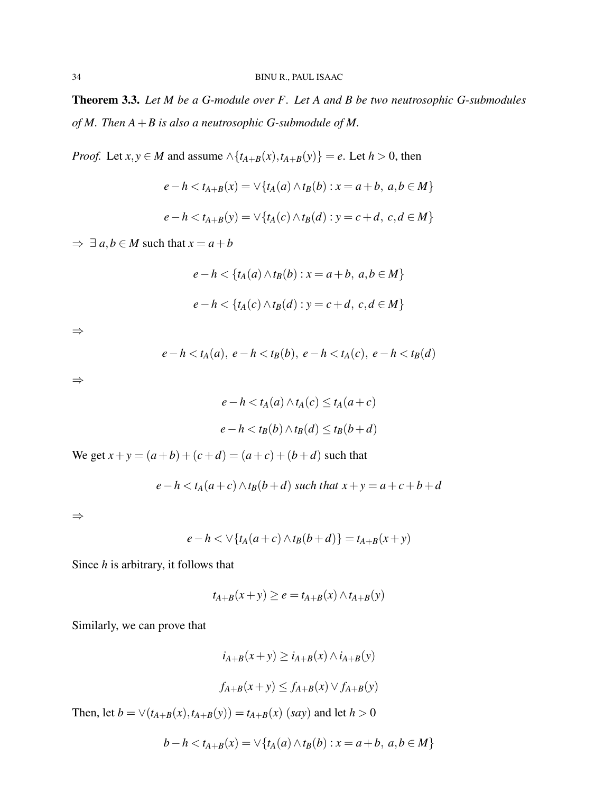Theorem 3.3. *Let M be a G-module over F. Let A and B be two neutrosophic G-submodules of M. Then A*+*B is also a neutrosophic G-submodule of M.*

*Proof.* Let *x*,  $y \in M$  and assume  $\land$  {*t*<sub>*A*+*B*</sub>(*x*),*t*<sub>*A*+*B*</sub>(*y*)} = *e*. Let *h* > 0, then

$$
e - h < t_{A+B}(x) = \sqrt{t_A(a) \land t_B(b) : x = a + b, \ a, b \in M}
$$
\n
$$
e - h < t_{A+B}(y) = \sqrt{t_A(c) \land t_B(d) : y = c + d, \ c, d \in M}
$$

 $\Rightarrow \exists a,b \in M$  such that  $x = a + b$ 

$$
e-h < \{t_A(a) \wedge t_B(b) : x = a+b, a,b \in M\}
$$
  

$$
e-h < \{t_A(c) \wedge t_B(d) : y = c+d, c,d \in M\}
$$

⇒

$$
e-h < t_A(a),\ e-h < t_B(b),\ e-h < t_A(c),\ e-h < t_B(d)
$$

⇒

$$
e - h < t_A(a) \land t_A(c) \le t_A(a + c)
$$
\n
$$
e - h < t_B(b) \land t_B(d) \le t_B(b + d)
$$

We get  $x + y = (a + b) + (c + d) = (a + c) + (b + d)$  such that

$$
e-h < t_A(a+c) \wedge t_B(b+d)
$$
 such that  $x+y=a+c+b+d$ 

⇒

$$
e-h<\vee\{t_A(a+c)\wedge t_B(b+d)\}=t_{A+B}(x+y)
$$

Since *h* is arbitrary, it follows that

$$
t_{A+B}(x+y) \ge e = t_{A+B}(x) \wedge t_{A+B}(y)
$$

Similarly, we can prove that

$$
i_{A+B}(x+y) \ge i_{A+B}(x) \land i_{A+B}(y)
$$

$$
f_{A+B}(x+y) \le f_{A+B}(x) \lor f_{A+B}(y)
$$

Then, let  $b = \vee (t_{A+B}(x), t_{A+B}(y)) = t_{A+B}(x)$  (*say*) and let  $h > 0$ 

$$
b - h < t_{A+B}(x) = \vee \{ t_A(a) \wedge t_B(b) : x = a + b, \ a, b \in M \}
$$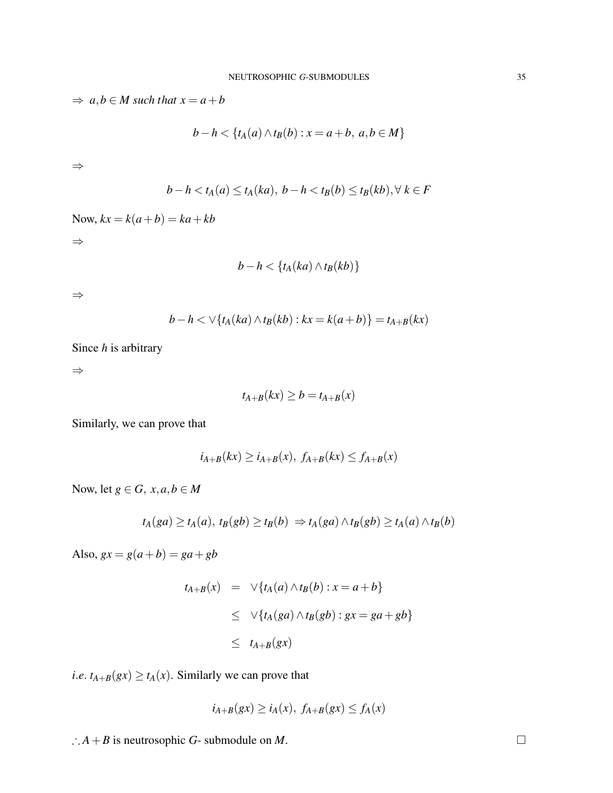$\Rightarrow$  *a*,*b*  $\in$  *M* such that  $x = a + b$ *b*−*h* < { $t_A(a) \land t_B(b)$  :  $x = a + b, a, b \in M$ } ⇒

$$
b-h < t_A(a) \le t_A(ka), b-h < t_B(b) \le t_B(kb), \forall k \in F
$$

Now,  $kx = k(a+b) = ka + kb$ 

⇒

$$
b-h < \{t_A(ka) \wedge t_B(kb)\}\
$$

⇒

$$
b-h \lt \vee \{t_A(ka) \wedge t_B(kb) : kx = k(a+b)\} = t_{A+B}(kx)
$$

Since *h* is arbitrary

⇒

$$
t_{A+B}(kx) \ge b = t_{A+B}(x)
$$

Similarly, we can prove that

$$
i_{A+B}(kx) \geq i_{A+B}(x), f_{A+B}(kx) \leq f_{A+B}(x)
$$

Now, let  $g \in G$ ,  $x, a, b \in M$ 

$$
t_A(ga) \ge t_A(a), t_B(gb) \ge t_B(b) \Rightarrow t_A(ga) \wedge t_B(gb) \ge t_A(a) \wedge t_B(b)
$$

Also,  $gx = g(a+b) = ga+gb$ 

$$
t_{A+B}(x) = \sqrt{t_A(a) \wedge t_B(b) : x = a+b}
$$
  
\n
$$
\leq \sqrt{t_A(ga) \wedge t_B(gb) : gx = ga + gb}
$$
  
\n
$$
\leq t_{A+B}(gx)
$$

*i.e.*  $t_{A+B}(gx) \ge t_A(x)$ . Similarly we can prove that

$$
i_{A+B}(gx) \geq i_A(x), f_{A+B}(gx) \leq f_A(x)
$$

∴  $A + B$  is neutrosophic  $G$ - submodule on  $M$ .  $\Box$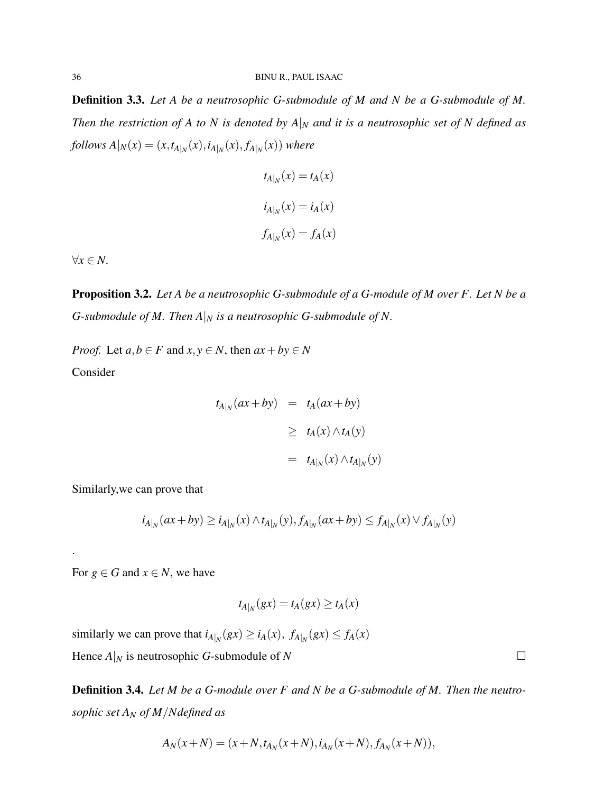Definition 3.3. *Let A be a neutrosophic G-submodule of M and N be a G-submodule of M. Then the restriction of A to N is denoted by A* $|_N$  *and it is a neutrosophic set of N defined as*  $f$ *ollows*  $A|_N(x) = (x, t_{A|_N}(x), i_{A|_N}(x), f_{A|_N}(x))$  where

$$
t_{A|_N}(x) = t_A(x)
$$

$$
i_{A|_N}(x) = i_A(x)
$$

$$
f_{A|_N}(x) = f_A(x)
$$

∀*x* ∈ *N.*

.

Proposition 3.2. *Let A be a neutrosophic G-submodule of a G-module of M over F. Let N be a G-submodule of M. Then*  $A|_N$  *is a neutrosophic G-submodule of N.* 

*Proof.* Let  $a, b \in F$  and  $x, y \in N$ , then  $ax + by \in N$ Consider

$$
t_{A|_N}(ax + by) = t_A(ax + by)
$$
  
\n
$$
\geq t_A(x) \wedge t_A(y)
$$
  
\n
$$
= t_{A|_N}(x) \wedge t_{A|_N}(y)
$$

Similarly,we can prove that

$$
i_{A|_N}(ax+by) \ge i_{A|_N}(x) \wedge t_{A|_N}(y), f_{A|_N}(ax+by) \le f_{A|_N}(x) \vee f_{A|_N}(y)
$$

For  $g \in G$  and  $x \in N$ , we have

$$
t_{A|_N}(gx) = t_A(gx) \ge t_A(x)
$$

similarly we can prove that  $i_{A|_N}(gx) \geq i_A(x)$ ,  $f_{A|_N}(gx) \leq f_A(x)$ Hence  $A|_N$  is neutrosophic *G*-submodule of *N* 

Definition 3.4. *Let M be a G-module over F and N be a G-submodule of M. Then the neutrosophic set A<sup>N</sup> of M*/*Ndefined as*

$$
A_N(x+N) = (x+N, t_{A_N}(x+N), i_{A_N}(x+N), f_{A_N}(x+N)),
$$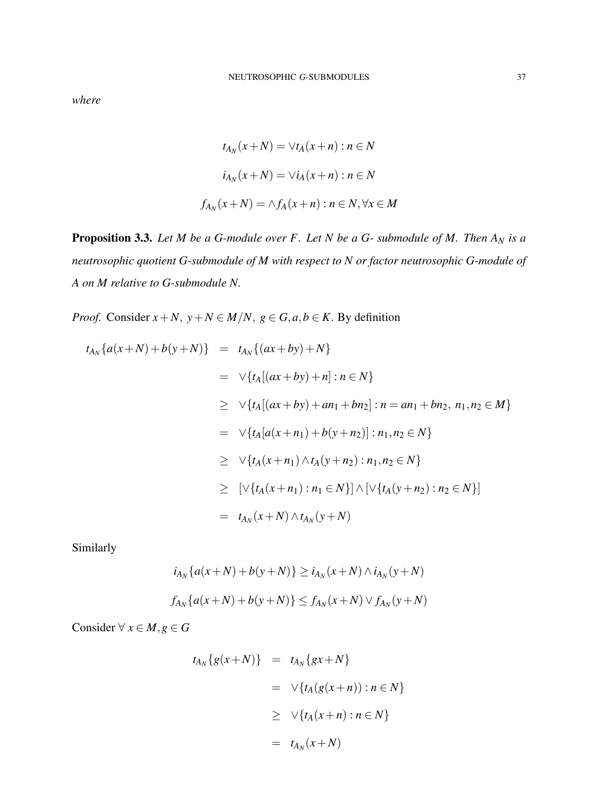*where*

$$
t_{A_N}(x+N) = \forall t_A(x+n) : n \in N
$$
  

$$
i_{A_N}(x+N) = \forall i_A(x+n) : n \in N
$$
  

$$
f_{A_N}(x+N) = \land f_A(x+n) : n \in N, \forall x \in M
$$

Proposition 3.3. *Let M be a G-module over F. Let N be a G- submodule of M. Then A<sup>N</sup> is a neutrosophic quotient G-submodule of M with respect to N or factor neutrosophic G-module of A on M relative to G-submodule N.*

*Proof.* Consider  $x + N$ ,  $y + N \in M/N$ ,  $g \in G$ ,  $a, b \in K$ . By definition

$$
t_{A_N}\{a(x+N)+b(y+N)\} = t_{A_N}\{(ax+by)+N\}
$$
  
\n
$$
= \vee \{t_A[(ax+by)+n] : n \in N\}
$$
  
\n
$$
\geq \vee \{t_A[(ax+by)+an_1+bn_2] : n = an_1+bn_2, n_1, n_2 \in M\}
$$
  
\n
$$
= \vee \{t_A[a(x+n_1)+b(y+n_2)] : n_1, n_2 \in N\}
$$
  
\n
$$
\geq \vee \{t_A(x+n_1) \wedge t_A(y+n_2) : n_1, n_2 \in N\}
$$
  
\n
$$
\geq [\vee \{t_A(x+n_1) : n_1 \in N\}] \wedge [\vee \{t_A(y+n_2) : n_2 \in N\}]
$$
  
\n
$$
= t_{A_N}(x+N) \wedge t_{A_N}(y+N)
$$

Similarly

$$
i_{A_N}\{a(x+N) + b(y+N)\} \ge i_{A_N}(x+N) \wedge i_{A_N}(y+N)
$$
  

$$
f_{A_N}\{a(x+N) + b(y+N)\} \le f_{A_N}(x+N) \vee f_{A_N}(y+N)
$$

Consider  $\forall x \in M, g \in G$ 

$$
t_{A_N}\lbrace g(x+N)\rbrace = t_{A_N}\lbrace gx+N\rbrace
$$
  

$$
= \sqrt{\lbrace t_A(g(x+n)) : n \in N\rbrace}
$$
  

$$
\geq \sqrt{\lbrace t_A(x+n) : n \in N\rbrace}
$$
  

$$
= t_{A_N}(x+N)
$$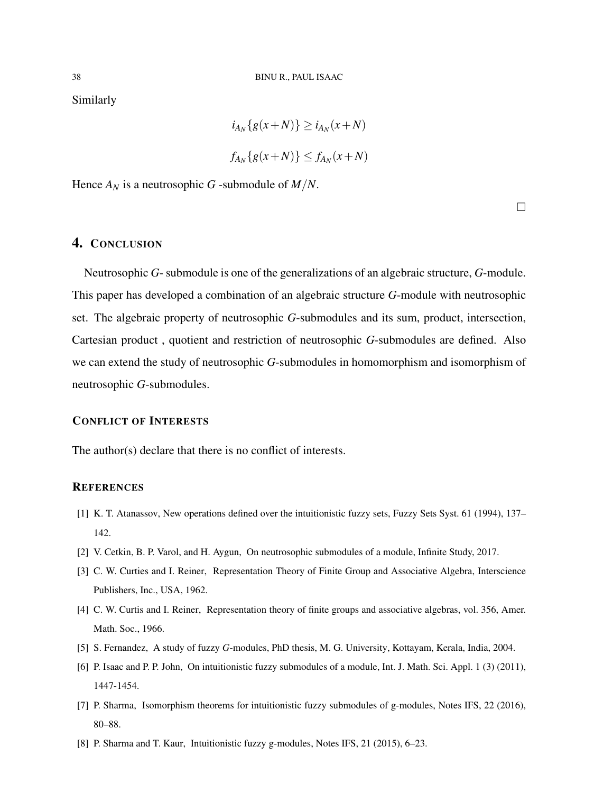Similarly

$$
i_{A_N}\{g(x+N)\}\geq i_{A_N}(x+N)
$$
  

$$
f_{A_N}\{g(x+N)\}\leq f_{A_N}(x+N)
$$

Hence  $A_N$  is a neutrosophic *G* -submodule of  $M/N$ .

 $\Box$ 

# 4. CONCLUSION

Neutrosophic *G*- submodule is one of the generalizations of an algebraic structure, *G*-module. This paper has developed a combination of an algebraic structure *G*-module with neutrosophic set. The algebraic property of neutrosophic *G*-submodules and its sum, product, intersection, Cartesian product , quotient and restriction of neutrosophic *G*-submodules are defined. Also we can extend the study of neutrosophic *G*-submodules in homomorphism and isomorphism of neutrosophic *G*-submodules.

#### CONFLICT OF INTERESTS

The author(s) declare that there is no conflict of interests.

### **REFERENCES**

- [1] K. T. Atanassov, New operations defined over the intuitionistic fuzzy sets, Fuzzy Sets Syst. 61 (1994), 137– 142.
- [2] V. Cetkin, B. P. Varol, and H. Aygun, On neutrosophic submodules of a module, Infinite Study, 2017.
- [3] C. W. Curties and I. Reiner, Representation Theory of Finite Group and Associative Algebra, Interscience Publishers, Inc., USA, 1962.
- [4] C. W. Curtis and I. Reiner, Representation theory of finite groups and associative algebras, vol. 356, Amer. Math. Soc., 1966.
- [5] S. Fernandez, A study of fuzzy *G*-modules, PhD thesis, M. G. University, Kottayam, Kerala, India, 2004.
- [6] P. Isaac and P. P. John, On intuitionistic fuzzy submodules of a module, Int. J. Math. Sci. Appl. 1 (3) (2011), 1447-1454.
- [7] P. Sharma, Isomorphism theorems for intuitionistic fuzzy submodules of g-modules, Notes IFS, 22 (2016), 80–88.
- [8] P. Sharma and T. Kaur, Intuitionistic fuzzy g-modules, Notes IFS, 21 (2015), 6–23.